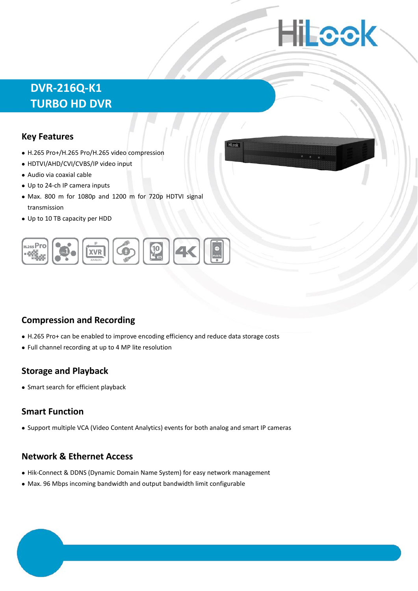# **Hillcok**

Hil poly

# **DVR-216Q-K1 TURBO HD DVR**

#### **Key Features**

- H.265 Pro+/H.265 Pro/H.265 video compression
- HDTVI/AHD/CVI/CVBS/IP video input
- Audio via coaxial cable
- Up to 24-ch IP camera inputs
- Max. 800 m for 1080p and 1200 m for 720p HDTVI signal transmission
- Up to 10 TB capacity per HDD



#### **Compression and Recording**

- H.265 Pro+ can be enabled to improve encoding efficiency and reduce data storage costs
- Full channel recording at up to 4 MP lite resolution

#### **Storage and Playback**

• Smart search for efficient playback

#### **Smart Function**

• Support multiple VCA (Video Content Analytics) events for both analog and smart IP cameras

#### **Network & Ethernet Access**

- Hik-Connect & DDNS (Dynamic Domain Name System) for easy network management
- Max. 96 Mbps incoming bandwidth and output bandwidth limit configurable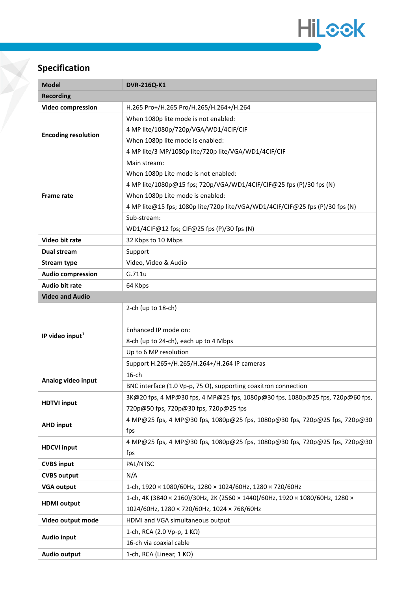

# **Specification**

| <b>Model</b>                | <b>DVR-216Q-K1</b>                                                            |  |
|-----------------------------|-------------------------------------------------------------------------------|--|
| <b>Recording</b>            |                                                                               |  |
| <b>Video compression</b>    | H.265 Pro+/H.265 Pro/H.265/H.264+/H.264                                       |  |
| <b>Encoding resolution</b>  | When 1080p lite mode is not enabled:                                          |  |
|                             | 4 MP lite/1080p/720p/VGA/WD1/4CIF/CIF                                         |  |
|                             | When 1080p lite mode is enabled:                                              |  |
|                             | 4 MP lite/3 MP/1080p lite/720p lite/VGA/WD1/4CIF/CIF                          |  |
| Frame rate                  | Main stream:                                                                  |  |
|                             | When 1080p Lite mode is not enabled:                                          |  |
|                             | 4 MP lite/1080p@15 fps; 720p/VGA/WD1/4CIF/CIF@25 fps (P)/30 fps (N)           |  |
|                             | When 1080p Lite mode is enabled:                                              |  |
|                             | 4 MP lite@15 fps; 1080p lite/720p lite/VGA/WD1/4CIF/CIF@25 fps (P)/30 fps (N) |  |
|                             | Sub-stream:                                                                   |  |
|                             | WD1/4CIF@12 fps; CIF@25 fps (P)/30 fps (N)                                    |  |
| Video bit rate              | 32 Kbps to 10 Mbps                                                            |  |
| Dual stream                 | Support                                                                       |  |
| <b>Stream type</b>          | Video, Video & Audio                                                          |  |
| <b>Audio compression</b>    | G.711u                                                                        |  |
| Audio bit rate              | 64 Kbps                                                                       |  |
| <b>Video and Audio</b>      |                                                                               |  |
| IP video input <sup>1</sup> | 2-ch (up to $18$ -ch)                                                         |  |
|                             | Enhanced IP mode on:                                                          |  |
|                             | 8-ch (up to 24-ch), each up to 4 Mbps                                         |  |
|                             | Up to 6 MP resolution                                                         |  |
|                             | Support H.265+/H.265/H.264+/H.264 IP cameras                                  |  |
| Analog video input          | $16$ -ch                                                                      |  |
|                             | BNC interface (1.0 Vp-p, 75 $\Omega$ ), supporting coaxitron connection       |  |
| <b>HDTVI input</b>          | 3K@20 fps, 4 MP@30 fps, 4 MP@25 fps, 1080p@30 fps, 1080p@25 fps, 720p@60 fps, |  |
|                             | 720p@50 fps, 720p@30 fps, 720p@25 fps                                         |  |
| <b>AHD input</b>            | 4 MP@25 fps, 4 MP@30 fps, 1080p@25 fps, 1080p@30 fps, 720p@25 fps, 720p@30    |  |
|                             | fps                                                                           |  |
| <b>HDCVI input</b>          | 4 MP@25 fps, 4 MP@30 fps, 1080p@25 fps, 1080p@30 fps, 720p@25 fps, 720p@30    |  |
|                             | fps                                                                           |  |
| <b>CVBS input</b>           | PAL/NTSC                                                                      |  |
| <b>CVBS output</b>          | N/A                                                                           |  |
| <b>VGA output</b>           | 1-ch, 1920 × 1080/60Hz, 1280 × 1024/60Hz, 1280 × 720/60Hz                     |  |
| <b>HDMI</b> output          | 1-ch, 4K (3840 × 2160)/30Hz, 2K (2560 × 1440)/60Hz, 1920 × 1080/60Hz, 1280 ×  |  |
|                             | 1024/60Hz, 1280 × 720/60Hz, 1024 × 768/60Hz                                   |  |
| Video output mode           | HDMI and VGA simultaneous output                                              |  |
| Audio input                 | 1-ch, RCA (2.0 Vp-p, 1 KΩ)                                                    |  |
|                             | 16-ch via coaxial cable                                                       |  |
| Audio output                | 1-ch, RCA (Linear, 1 KΩ)                                                      |  |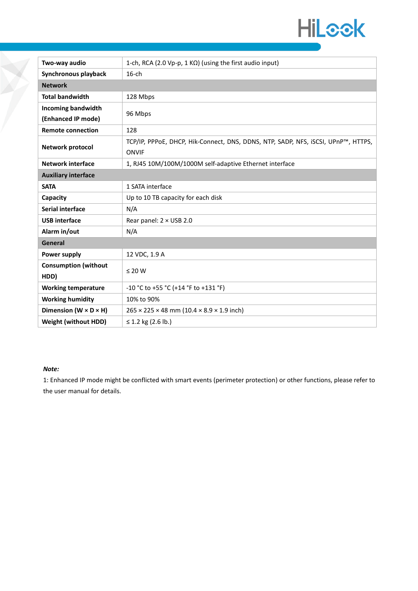# HiLook

| Two-way audio                       | 1-ch, RCA (2.0 Vp-p, 1 K $\Omega$ ) (using the first audio input)                 |
|-------------------------------------|-----------------------------------------------------------------------------------|
| Synchronous playback                | $16$ -ch                                                                          |
| <b>Network</b>                      |                                                                                   |
| <b>Total bandwidth</b>              | 128 Mbps                                                                          |
| <b>Incoming bandwidth</b>           | 96 Mbps                                                                           |
| (Enhanced IP mode)                  |                                                                                   |
| <b>Remote connection</b>            | 128                                                                               |
| Network protocol                    | TCP/IP, PPPoE, DHCP, Hik-Connect, DNS, DDNS, NTP, SADP, NFS, iSCSI, UPnP™, HTTPS, |
|                                     | <b>ONVIF</b>                                                                      |
| <b>Network interface</b>            | 1, RJ45 10M/100M/1000M self-adaptive Ethernet interface                           |
| <b>Auxiliary interface</b>          |                                                                                   |
| <b>SATA</b>                         | 1 SATA interface                                                                  |
| Capacity                            | Up to 10 TB capacity for each disk                                                |
| <b>Serial interface</b>             | N/A                                                                               |
| <b>USB</b> interface                | Rear panel: 2 × USB 2.0                                                           |
| Alarm in/out                        | N/A                                                                               |
| General                             |                                                                                   |
| Power supply                        | 12 VDC, 1.9 A                                                                     |
| <b>Consumption (without</b>         | $\leq 20$ W                                                                       |
| HDD)                                |                                                                                   |
| <b>Working temperature</b>          | -10 °C to +55 °C (+14 °F to +131 °F)                                              |
| <b>Working humidity</b>             | 10% to 90%                                                                        |
| Dimension ( $W \times D \times H$ ) | $265 \times 225 \times 48$ mm (10.4 $\times$ 8.9 $\times$ 1.9 inch)               |
| <b>Weight (without HDD)</b>         | ≤ 1.2 kg (2.6 lb.)                                                                |

#### *Note:*

1: Enhanced IP mode might be conflicted with smart events (perimeter protection) or other functions, please refer to the user manual for details.